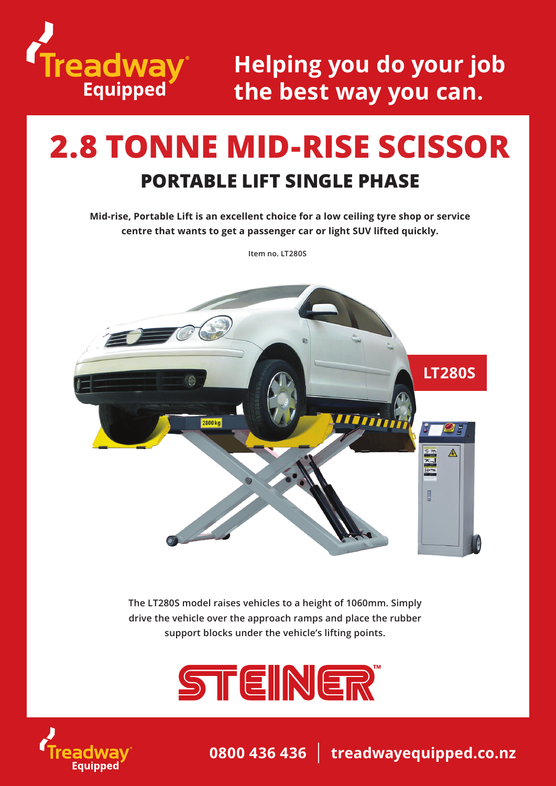

## **Helping you do your job the best way you can.**

# **2.8 TONNE MID-RISE SCISSOR PORTABLE LIFT SINGLE PHASE**

**Mid-rise, Portable Lift is an excellent choice for a low ceiling tyre shop or service centre that wants to get a passenger car or light SUV lifted quickly.**

**Item no. LT280S**



**The LT280S model raises vehicles to a height of 1060mm. Simply drive the vehicle over the approach ramps and place the rubber support blocks under the vehicle's lifting points.** 





**0800 436 436** | **treadwayequipped.co.nz**